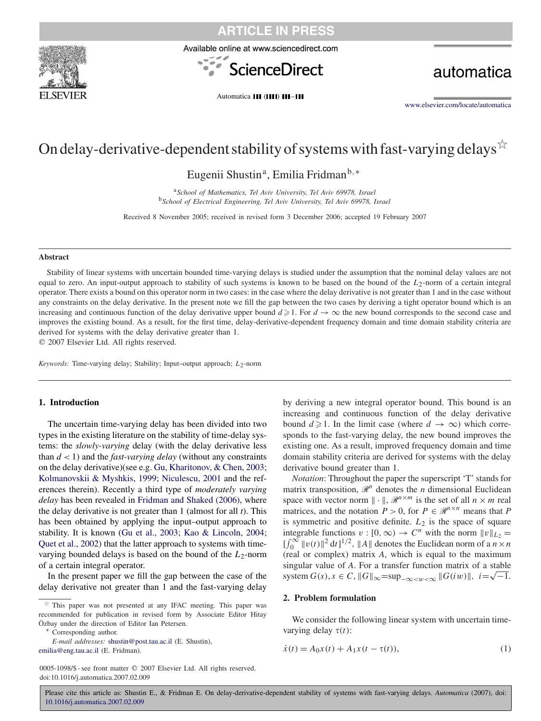





automatica

Automatica III (IIII) III-III

[www.elsevier.com/locate/automatica](http://www.elsevier.com/locate/automatica)

# On delay-derivative-dependent stability of systems with fast-varying delays  $\overleftrightarrow{\cdot}$

Eugenii Shustin<sup>a</sup>, Emilia Fridman<sup>b,∗</sup>

<sup>a</sup>*School of Mathematics, Tel Aviv University, Tel Aviv 69978, Israel* <sup>b</sup>*School of Electrical Engineering, Tel Aviv University, Tel Aviv 69978, Israel*

Received 8 November 2005; received in revised form 3 December 2006; accepted 19 February 2007

### **Abstract**

Stability of linear systems with uncertain bounded time-varying delays is studied under the assumption that the nominal delay values are not equal to zero. An input-output approach to stability of such systems is known to be based on the bound of the *L*2-norm of a certain integral operator. There exists a bound on this operator norm in two cases: in the case where the delay derivative is not greater than 1 and in the case without any constraints on the delay derivative. In the present note we fill the gap between the two cases by deriving a tight operator bound which is an increasing and continuous function of the delay derivative upper bound  $d \ge 1$ . For  $d \to \infty$  the new bound corresponds to the second case and improves the existing bound. As a result, for the first time, delay-derivative-dependent frequency domain and time domain stability criteria are derived for systems with the delay derivative greater than 1.

2007 Elsevier Ltd. All rights reserved.

*Keywords:* Time-varying delay; Stability; Input–output approach;  $L_2$ -norm

### **1. Introduction**

The uncertain time-varying delay has been divided into two types in the existing literature on the stability of time-delay systems: the *slowly-varying* delay (with the delay derivative less than  $d < 1$ ) and the *fast-varying delay* (without any constraints on the delay derivative)(see e.g. Gu, Kharitonov, & Chen, 2003; Kolmanovskii & Myshkis, 1999; Niculescu, 2001 and the references therein). Recently a third type of *moderately varying delay* has been revealed in [Fridman and Shaked \(2006\),](#page-5-0) where the delay derivative is not greater than 1 (almost for all *t*). This has been obtained by applying the input–output approach to stability. It is known (Gu et al., 2003; Kao & Lincoln, 2004; Quet et al., 2002) that the latter approach to systems with timevarying bounded delays is based on the bound of the *L*2-norm of a certain integral operator.

In the present paper we fill the gap between the case of the delay derivative not greater than 1 and the fast-varying delay

0005-1098/\$ - see front matter © 2007 Elsevier Ltd. All rights reserved. doi:10.1016/j.automatica.2007.02.009

by deriving a new integral operator bound. This bound is an increasing and continuous function of the delay derivative bound  $d \ge 1$ . In the limit case (where  $d \to \infty$ ) which corresponds to the fast-varying delay, the new bound improves the existing one. As a result, improved frequency domain and time domain stability criteria are derived for systems with the delay derivative bound greater than 1.

*Notation*: Throughout the paper the superscript 'T' stands for matrix transposition,  $\mathcal{R}^n$  denotes the *n* dimensional Euclidean space with vector norm  $\|\cdot\|$ ,  $\mathcal{R}^{n \times m}$  is the set of all  $n \times m$  real matrices, and the notation  $P > 0$ , for  $P \in \mathcal{R}^{n \times n}$  means that P is symmetric and positive definite. *L*<sup>2</sup> is the space of square integrable functions  $v : [0, \infty) \to C^n$  with the norm  $||v||_{L_2} =$  $\int_0^\infty ||v(t)||^2 dt]^{1/2}$ ,  $||A||$  denotes the Euclidean norm of a  $n \times n$ (real or complex) matrix *A*, which is equal to the maximum singular value of *A*. For a transfer function matrix of a stable singular value or *A*. For a transfer function matrix or a stable<br>system  $G(s)$ ,  $s \in C$ ,  $||G||_{\infty} = \sup_{-\infty \leq w \leq \infty} ||G(iw)||$ ,  $i = \sqrt{-1}$ .

### **2. Problem formulation**

We consider the following linear system with uncertain timevarying delay  $\tau(t)$ :

$$
\dot{x}(t) = A_0 x(t) + A_1 x(t - \tau(t)),
$$
\n(1)

 $\overrightarrow{r}$  This paper was not presented at any IFAC meeting. This paper was recommended for publication in revised form by Associate Editor Hitay Özbay under the direction of Editor Ian Petersen. <sup>∗</sup> Corresponding author.

*E-mail addresses:* [shustin@post.tau.ac.il](mailto:shustin@post.tau.ac.il) (E. Shustin), [emilia@eng.tau.ac.il](mailto:emilia@eng.tau.ac.il) (E. Fridman).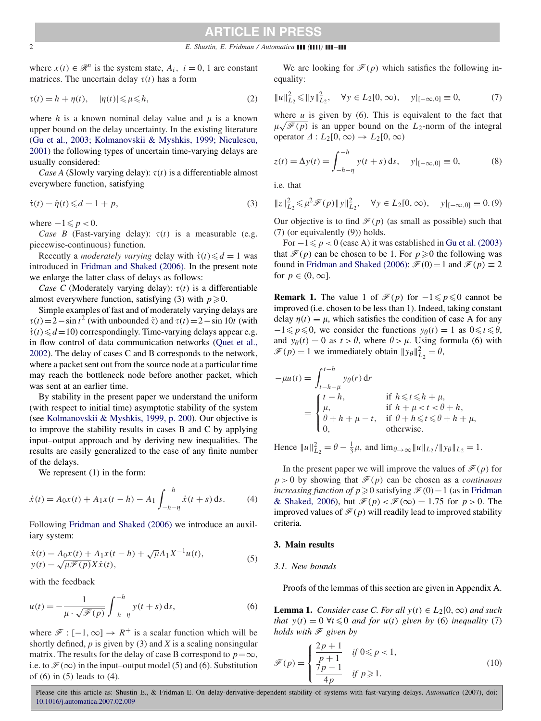### 2 *E. Shustin, E. Fridman / Automatica ( ) –*

where  $x(t) \in \mathcal{R}^n$  is the system state,  $A_i$ ,  $i = 0, 1$  are constant matrices. The uncertain delay  $\tau(t)$  has a form

$$
\tau(t) = h + \eta(t), \quad |\eta(t)| \leq \mu \leq h,
$$
\n(2)

where  $h$  is a known nominal delay value and  $\mu$  is a known upper bound on the delay uncertainty. In the existing literature (Gu et al., 2003; Kolmanovskii & Myshkis, 1999; Niculescu, 2001) the following types of uncertain time-varying delays are usually considered:

*Case A* (Slowly varying delay):  $\tau(t)$  is a differentiable almost everywhere function, satisfying

$$
\dot{\tau}(t) = \dot{\eta}(t) \leq d = 1 + p,\tag{3}
$$

where  $-1 \leqslant p < 0$ .

*Case B* (Fast-varying delay):  $\tau(t)$  is a measurable (e.g. piecewise-continuous) function.

Recently a *moderately varying* delay with  $\dot{\tau}(t) \le d = 1$  was introduced in [Fridman and Shaked \(2006\).](#page-5-0) In the present note we enlarge the latter class of delays as follows:

*Case C* (Moderately varying delay):  $\tau(t)$  is a differentiable almost everywhere function, satisfying (3) with  $p \ge 0$ .

Simple examples of fast and of moderately varying delays are  $\tau(t) = 2 - \sin t^2$  (with unbounded  $\tau$ ) and  $\tau(t) = 2 - \sin 10t$  (with  $\dot{\tau}(t) \le d = 10$ ) correspondingly. Time-varying delays appear e.g. in flow control of data communication networks (Quet et al., 2002[\).](#page-6-0) [The](#page-6-0) [delay](#page-6-0) [of](#page-6-0) [cases](#page-6-0) [C](#page-6-0) [and](#page-6-0) [B](#page-6-0) [corresponds](#page-6-0) [to](#page-6-0) [th](#page-6-0)e network, where a packet sent out from the source node at a particular time may reach the bottleneck node before another packet, which was sent at an earlier time.

By stability in the present paper we understand the uniform (with respect to initial time) asymptotic stability of the system (see [Kolmanovskii & Myshkis, 1999, p. 200\)](#page-6-0). Our objective is to improve the stability results in cases B and C by applying input–output approach and by deriving new inequalities. The results are easily generalized to the case of any finite number of the delays.

We represent  $(1)$  in the form:

$$
\dot{x}(t) = A_0 x(t) + A_1 x(t - h) - A_1 \int_{-h-\eta}^{-h} \dot{x}(t + s) \, \mathrm{d}s. \tag{4}
$$

Following [Fridman and Shaked \(2006\)](#page-5-0) we introduce an auxiliary system:

$$
\dot{x}(t) = A_0 x(t) + A_1 x(t - h) + \sqrt{\mu} A_1 X^{-1} u(t), \n y(t) = \sqrt{\mu} \mathcal{F}(p) X \dot{x}(t),
$$
\n(5)

with the feedback

$$
u(t) = -\frac{1}{\mu \cdot \sqrt{\mathcal{F}(p)}} \int_{-h-\eta}^{-h} y(t+s) \, \mathrm{d}s,\tag{6}
$$

where  $\mathcal{F} : [-1, \infty] \to R^+$  is a scalar function which will be shortly defined, *p* is given by (3) and *X* is a scaling nonsingular matrix. The results for the delay of case B correspond to  $p=\infty$ , i.e. to  $\mathcal{F}(\infty)$  in the input–output model (5) and (6). Substitution of (6) in (5) leads to (4).

We are looking for  $\mathcal{F}(p)$  which satisfies the following inequality:

$$
||u||_{L_2}^2 \le ||y||_{L_2}^2, \quad \forall y \in L_2[0, \infty), \quad y|_{[-\infty, 0]} \equiv 0,
$$
 (7)

where  $u$  is given by  $(6)$ . This is equivalent to the fact that where *u* is given by (6). This is equivalent to the fact that  $\mu\sqrt{\mathscr{F}(p)}$  is an upper bound on the *L*<sub>2</sub>-norm of the integral operator  $\Delta: L_2[0, \infty) \to L_2[0, \infty)$ 

$$
z(t) = \Delta y(t) = \int_{-h-\eta}^{-h} y(t+s) \, ds, \quad y|_{[-\infty,0]} \equiv 0,
$$
 (8)

i.e. that

$$
||z||_{L_2}^2 \le \mu^2 \mathcal{F}(p) ||y||_{L_2}^2, \quad \forall y \in L_2[0, \infty), \quad y|_{[-\infty, 0]} \equiv 0. (9)
$$

Our objective is to find  $\mathcal{F}(p)$  (as small as possible) such that (7) (or equivalently (9)) holds.

For  $-1 \leq p < 0$  (case A) it was established in [Gu et al. \(2003\)](#page-5-0) that  $\mathcal{F}(p)$  can be chosen to be 1. For  $p \ge 0$  the following was found in [Fridman and Shaked \(2006\):](#page-5-0)  $\mathcal{F}(0) = 1$  and  $\mathcal{F}(p) \equiv 2$ for  $p \in (0, \infty]$ .

**Remark 1.** The value 1 of  $\mathcal{F}(p)$  for  $-1 \leq p \leq 0$  cannot be improved (i.e. chosen to be less than 1). Indeed, taking constant delay  $\eta(t) \equiv \mu$ , which satisfies the condition of case A for any  $-1 \leq p \leq 0$ , we consider the functions  $y_{\theta}(t) = 1$  as  $0 \leq t \leq \theta$ , and  $y_{\theta}(t) = 0$  as  $t > \theta$ , where  $\theta > \mu$ . Using formula (6) with  $\mathcal{F}(p) = 1$  we immediately obtain  $||y_\theta||_{L_2}^2 = \theta$ ,

$$
-\mu u(t) = \int_{t-h-\mu}^{t-h} y_{\theta}(r) dr
$$
  
\n
$$
= \begin{cases} t-h, & \text{if } h \leq t \leq h+\mu, \\ \mu, & \text{if } h+\mu < t < \theta+h, \\ \theta+h+\mu-t, & \text{if } \theta+h \leq t \leq \theta+h+\mu, \\ 0, & \text{otherwise.} \end{cases}
$$

Hence  $||u||_{L_2}^2 = \theta - \frac{1}{3}\mu$ , and  $\lim_{\theta \to \infty} ||u||_{L_2} / ||y_\theta||_{L_2} = 1$ .

In the present paper we will improve the values of  $\mathcal{F}(p)$  for  $p > 0$  by showing that  $\mathcal{F}(p)$  can be chosen as a *continuous increasing function of*  $p \ge 0$  satisfying  $\mathcal{F}(0) = 1$  (as in Fridman & Shaked, 2006), but  $\mathcal{F}(p) < \mathcal{F}(\infty) = 1.75$  $\mathcal{F}(p) < \mathcal{F}(\infty) = 1.75$  $\mathcal{F}(p) < \mathcal{F}(\infty) = 1.75$  $\mathcal{F}(p) < \mathcal{F}(\infty) = 1.75$  $\mathcal{F}(p) < \mathcal{F}(\infty) = 1.75$  for  $p > 0$ . The improved values of  $\mathcal{F}(p)$  will readily lead to improved stability criteria.

### **3. Main results**

#### *3.1. New bounds*

Proofs of the lemmas of this section are given in Appendix A.

**Lemma 1.** *Consider case C. For all*  $y(t) \in L_2[0, \infty)$  *and such that*  $y(t) = 0 \forall t \leq 0$  *and for*  $u(t)$  *given by* (6) *inequality* (7) *holds with*  $\mathcal{F}$  *given by* 

$$
\mathcal{F}(p) = \begin{cases} \frac{2p+1}{p+1} & \text{if } 0 \leq p < 1, \\ \frac{7p-1}{4p} & \text{if } p \geqslant 1. \end{cases} \tag{10}
$$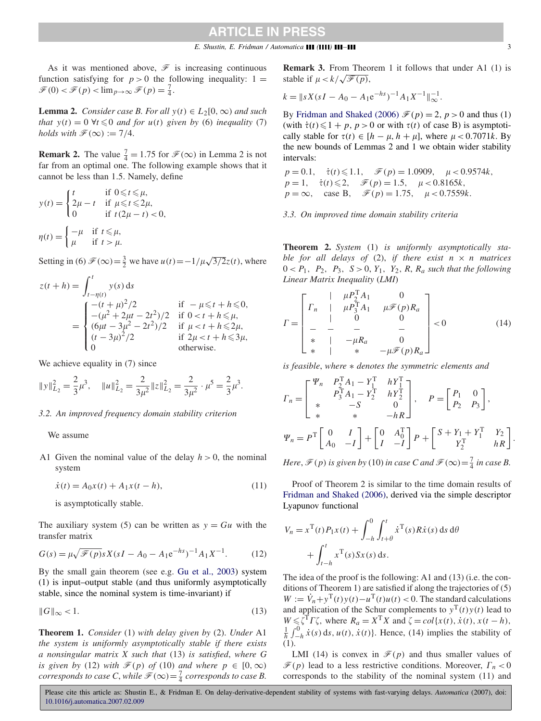As it was mentioned above,  $\mathscr F$  is increasing continuous function satisfying for  $p > 0$  the following inequality:  $1 =$  $\mathscr{F}(0) < \mathscr{F}(p) < \lim_{p \to \infty} \mathscr{F}(p) = \frac{7}{4}.$ 

**Lemma 2.** *Consider case B. For all*  $y(t) \in L_2[0, \infty)$  *and such that*  $y(t) = 0 \forall t \leq 0$  *and for*  $u(t)$  *given by* (6) *inequality* (7) *holds with*  $\mathcal{F}(\infty) := 7/4$ .

**Remark 2.** The value  $\frac{7}{4} = 1.75$  for  $\mathcal{F}(\infty)$  in Lemma 2 is not far from an optimal one. The following example shows that it cannot be less than 1*.*5. Namely, define

$$
y(t) = \begin{cases} t & \text{if } 0 \leq t \leq \mu, \\ 2\mu - t & \text{if } \mu \leq t \leq 2\mu, \\ 0 & \text{if } t(2\mu - t) < 0, \end{cases}
$$

$$
\eta(t) = \begin{cases} -\mu & \text{if } t \leq \mu, \\ \mu & \text{if } t > \mu. \end{cases}
$$

Setting in (6)  $\mathcal{F}(\infty) = \frac{3}{2}$  we have  $u(t) = -1/\mu\sqrt{3/2}z(t)$ , where

$$
z(t + h) = \int_{t-\eta(t)}^{t} y(s) ds
$$
  
= 
$$
\begin{cases} -(t + \mu)^{2}/2 & \text{if } -\mu \leq t + h \leq 0, \\ -(\mu^{2} + 2\mu t - 2t^{2})/2 & \text{if } 0 < t + h \leq \mu, \\ (6\mu t - 3\mu^{2} - 2t^{2})/2 & \text{if } \mu < t + h \leq 2\mu, \\ (t - 3\mu)^{2}/2 & \text{if } 2\mu < t + h \leq 3\mu, \\ 0 & \text{otherwise.} \end{cases}
$$

We achieve equality in (7) since

$$
||y||_{L_2}^2 = \frac{2}{3}\mu^3, \quad ||u||_{L_2}^2 = \frac{2}{3\mu^2}||z||_{L_2}^2 = \frac{2}{3\mu^2} \cdot \mu^5 = \frac{2}{3}\mu^3.
$$

### *3.2. An improved frequency domain stability criterion*

We assume

A1 Given the nominal value of the delay  $h > 0$ , the nominal system

$$
\dot{x}(t) = A_0 x(t) + A_1 x(t - h),
$$
\n(11)

is asymptotically stable.

The auxiliary system (5) can be written as  $y = Gu$  with the transfer matrix

$$
G(s) = \mu \sqrt{\mathcal{F}(p)} s X (sI - A_0 - A_1 e^{-hs})^{-1} A_1 X^{-1}.
$$
 (12)

By the small gain theorem (see e.g. [Gu et al., 2003\)](#page-5-0) system (1) is input–output stable (and thus uniformly asymptotically stable, since the nominal system is time-invariant) if

$$
||G||_{\infty} < 1. \tag{13}
$$

**Theorem 1.** *Consider* (1) *with delay given by* (2). *Under* A1 *the system is uniformly asymptotically stable if there exists a nonsingular matrix X such that* (13) *is satisfied*, *where G is given by* (12) *with*  $\mathcal{F}(p)$  *of* (10) *and where*  $p \in [0, \infty)$ *corresponds to case C*, *while*  $\mathcal{F}(\infty) = \frac{7}{4}$  *corresponds to case B*.

**Remark 3.** From Theorem 1 it follows that under A1 (1) is stable if  $\mu < k/\sqrt{\mathscr{F}(p)}$ ,

$$
k = \|sX(sI - A_0 - A_1e^{-hs})^{-1}A_1X^{-1}\|_{\infty}^{-1}.
$$

By [Fridman and Shaked \(2006\)](#page-5-0)  $\mathcal{F}(p) = 2$ ,  $p > 0$  and thus (1) (with  $\dot{\tau}(t) \leq 1 + p$ ,  $p > 0$  or with  $\tau(t)$  of case B) is asymptotically stable for  $\tau(t) \in [h - \mu, h + \mu]$ , where  $\mu < 0.7071k$ . By the new bounds of Lemmas 2 and 1 we obtain wider stability intervals:

$$
p = 0.1, \quad \dot{\tau}(t) \le 1.1, \quad \mathcal{F}(p) = 1.0909, \quad \mu < 0.9574k,
$$
  
\n
$$
p = 1, \quad \dot{\tau}(t) \le 2, \quad \mathcal{F}(p) = 1.5, \quad \mu < 0.8165k,
$$
  
\n
$$
p = \infty, \quad \text{case B}, \quad \mathcal{F}(p) = 1.75, \quad \mu < 0.7559k.
$$

*3.3. On improved time domain stability criteria*

**Theorem 2.** *System* (1) *is uniformly asymptotically stable for all delays of* (2), *if there exist*  $n \times n$  *matrices*  $0 < P_1, P_2, P_3, S > 0, Y_1, Y_2, R, R_a$  such that the following *Linear Matrix Inequality* (*LMI*)

$$
\Gamma = \begin{bmatrix}\n & \mu P_2^T A_1 & 0 \\
\Gamma_n & \mu P_3^T A_1 & \mu \mathcal{F}(p) R_a \\
 & 0 & 0 \\
 & - & - & - \\
\ast & - & - & - \\
\ast & - & - & - \\
\ast & - & - & - \\
\ast & - & - & - \\
\ast & - & - & - \\
\ast & - & - & - \\
\end{bmatrix} < 0 \tag{14}
$$

*is feasible*, *where* ∗ *denotes the symmetric elements and*

$$
T_n = \begin{bmatrix} \Psi_n & P_2^{\mathrm{T}} A_1 - Y_1^{\mathrm{T}} & h Y_1^{\mathrm{T}} \\ P_3^{\mathrm{T}} A_1 - Y_2^{\mathrm{T}} & h Y_2^{\mathrm{T}} \\ * & -S & 0 \\ * & * & -h R \end{bmatrix}, \quad P = \begin{bmatrix} P_1 & 0 \\ P_2 & P_3 \end{bmatrix},
$$
  

$$
\Psi_n = P^{\mathrm{T}} \begin{bmatrix} 0 & I \\ A_0 & -I \end{bmatrix} + \begin{bmatrix} 0 & A_0^{\mathrm{T}} \\ I & -I \end{bmatrix} P + \begin{bmatrix} S + Y_1 + Y_1^{\mathrm{T}} & Y_2 \\ Y_2^{\mathrm{T}} & h R \end{bmatrix}.
$$

*Here*,  $\mathcal{F}(p)$  *is given by* (10) *in case* C and  $\mathcal{F}(\infty) = \frac{7}{4}$  *in case* B.

Proof of Theorem 2 is similar to the time domain results of [Fridman and Shaked \(2006\),](#page-5-0) derived via the simple descriptor Lyapunov functional

$$
V_n = x^{\mathrm{T}}(t)P_1x(t) + \int_{-h}^0 \int_{t+\theta}^t \dot{x}^{\mathrm{T}}(s)R\dot{x}(s) ds d\theta
$$

$$
+ \int_{t-h}^t x^{\mathrm{T}}(s)Sx(s) ds.
$$

The idea of the proof is the following: A1 and (13) (i.e. the conditions of Theorem 1) are satisfied if along the trajectories of (5)  $W := \dot{V}_n + y^{\mathrm{T}}(t)y(t) - u^{\mathrm{T}}(t)u(t) < 0$ . The standard calculations and application of the Schur complements to  $y^T(t)y(t)$  lead to  $W \le \overline{\zeta}^T \Gamma \zeta$ , where  $R_a = X^T X$  and  $\zeta = col\{x(t), \dot{x}(t), x(t-h),\}$  $\frac{1}{h} \int_{-h}^{0} \dot{x}(s) ds, u(t), \dot{x}(t)$ . Hence, (14) implies the stability of (1).

LMI (14) is convex in  $\mathcal{F}(p)$  and thus smaller values of  $\mathcal{F}(p)$  lead to a less restrictive conditions. Moreover,  $\Gamma_n < 0$ corresponds to the stability of the nominal system (11) and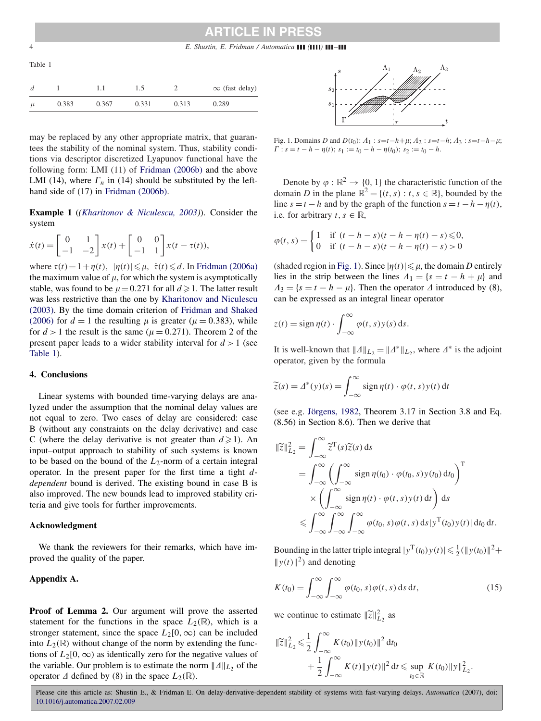4 *E. Shustin, E. Fridman / Automatica ( ) –*

Table 1

|       |       |       |       |       | $\infty$ (fast delay) |
|-------|-------|-------|-------|-------|-----------------------|
| $\mu$ | 0.383 | 0.367 | 0.331 | 0.313 | 0.289                 |

may be replaced by any other appropriate matrix, that guarantees the stability of the nominal system. Thus, stability conditions via descriptor discretized Lyapunov functional have the following form: LMI (11) of [Fridman \(2006b\)](#page-5-0) and the above LMI (14), where  $\Gamma_n$  in (14) should be substituted by the left-hand side of (17) in [Fridman \(2006b\).](#page-5-0)

**Example 1** (*[\(Kharitonov & Niculescu, 2003\)](#page-6-0)*). Consider the system

$$
\dot{x}(t) = \begin{bmatrix} 0 & 1 \\ -1 & -2 \end{bmatrix} x(t) + \begin{bmatrix} 0 & 0 \\ -1 & 1 \end{bmatrix} x(t - \tau(t)),
$$

where  $\tau(t) = 1 + \eta(t)$ ,  $|\eta(t)| \le \mu$ ,  $\dot{\tau}(t) \le d$ . In [Fridman \(2006a\)](#page-5-0) the maximum value of  $\mu$ , for which the system is asymptotically stable, was found to be  $\mu = 0.271$  for all  $d \ge 1$ . The latter result was less restrictive than the one by Kharitonov and Niculescu (2003). By the time domain criterion of Fridman and Shaked (2006) for  $d = 1$  $d = 1$  the resulting  $\mu$  is greater ( $\mu = 0.383$ ), while for  $d > 1$  the result is the same ( $\mu = 0.271$ ). Theorem 2 of the present paper leads to a wider stability interval for  $d > 1$  (see Table 1).

### **4. Conclusions**

Linear systems with bounded time-varying delays are analyzed under the assumption that the nominal delay values are not equal to zero. Two cases of delay are considered: case B (without any constraints on the delay derivative) and case C (where the delay derivative is not greater than  $d \ge 1$ ). An input–output approach to stability of such systems is known to be based on the bound of the *L*2-norm of a certain integral operator. In the present paper for the first time a tight *ddependent* bound is derived. The existing bound in case B is also improved. The new bounds lead to improved stability criteria and give tools for further improvements.

### **Acknowledgment**

We thank the reviewers for their remarks, which have improved the quality of the paper.

### **Appendix A.**

**Proof of Lemma 2.** Our argument will prove the asserted statement for the functions in the space  $L_2(\mathbb{R})$ , which is a stronger statement, since the space  $L_2[0,\infty)$  can be included into  $L_2(\mathbb{R})$  without change of the norm by extending the functions of  $L_2[0, \infty)$  as identically zero for the negative values of the variable. Our problem is to estimate the norm  $||A||_{L_2}$  of the operator  $\Delta$  defined by (8) in the space  $L_2(\mathbb{R})$ .



Fig. 1. Domains *D* and *D*(*t*<sub>0</sub>):  $A_1$  :  $s = t - h + \mu$ ;  $A_2$  :  $s = t - h$ ;  $A_3$  :  $s = t - h - \mu$ ;  $\Gamma$  :  $s = t - h - \eta(t)$ ;  $s_1 := t_0 - h - \eta(t_0)$ ;  $s_2 := t_0 - h$ .

Denote by  $\varphi : \mathbb{R}^2 \to \{0, 1\}$  the characteristic function of the domain *D* in the plane  $\mathbb{R}^2 = \{(t, s) : t, s \in \mathbb{R}\}$ , bounded by the line  $s = t - h$  and by the graph of the function  $s = t - h - \eta(t)$ , i.e. for arbitrary  $t, s \in \mathbb{R}$ ,

$$
\varphi(t,s) = \begin{cases} 1 & \text{if } (t-h-s)(t-h-\eta(t)-s) \leq 0, \\ 0 & \text{if } (t-h-s)(t-h-\eta(t)-s) > 0 \end{cases}
$$

(shaded region in Fig. 1). Since  $|\eta(t)| \leq \mu$ , the domain *D* entirely lies in the strip between the lines  $\Lambda_1 = \{s = t - h + \mu\}$  and  $A_3 = \{s = t - h - \mu\}.$  Then the operator  $\Delta$  introduced by (8), can be expressed as an integral linear operator

$$
z(t) = \operatorname{sign} \eta(t) \cdot \int_{-\infty}^{\infty} \varphi(t, s) y(s) \, ds.
$$

It is well-known that  $||A||_{L_2} = ||A^*||_{L_2}$ , where  $A^*$  is the adjoint operator, given by the formula

$$
\widetilde{z}(s) = \varDelta^*(y)(s) = \int_{-\infty}^{\infty} \operatorname{sign} \eta(t) \cdot \varphi(t, s) y(t) dt
$$

(see e.g. [Jörgens, 1982,](#page-6-0) Theorem 3.17 in Section 3.8 and Eq. (8.56) in Section 8.6). Then we derive that

$$
\|\widetilde{z}\|_{L_2}^2 = \int_{-\infty}^{\infty} \widetilde{z}^{\mathrm{T}}(s)\widetilde{z}(s) ds
$$
  
= 
$$
\int_{-\infty}^{\infty} \left(\int_{-\infty}^{\infty} \operatorname{sign} \eta(t_0) \cdot \varphi(t_0, s) y(t_0) dt_0 \right)^{\mathrm{T}}
$$
  

$$
\times \left(\int_{-\infty}^{\infty} \operatorname{sign} \eta(t) \cdot \varphi(t, s) y(t) dt \right) ds
$$
  

$$
\leq \int_{-\infty}^{\infty} \int_{-\infty}^{\infty} \int_{-\infty}^{\infty} \varphi(t_0, s) \varphi(t, s) ds |y^{\mathrm{T}}(t_0) y(t)| dt_0 dt.
$$

Bounding in the latter triple integral  $|y^T(t_0)y(t)| \leq \frac{1}{2}(\|y(t_0)\|^2 +$  $||y(t)||^2$  and denoting

$$
K(t_0) = \int_{-\infty}^{\infty} \int_{-\infty}^{\infty} \varphi(t_0, s) \varphi(t, s) \, ds \, dt,\tag{15}
$$

we continue to estimate  $\|\tilde{z}\|_{L_2}^2$  as

$$
\begin{aligned} \|\widetilde{z}\|_{L_2}^2 &\leq \frac{1}{2} \int_{-\infty}^{\infty} K(t_0) \|y(t_0)\|^2 \, \mathrm{d}t_0 \\ &+ \frac{1}{2} \int_{-\infty}^{\infty} K(t) \|y(t)\|^2 \, \mathrm{d}t \leq \sup_{t_0 \in \mathbb{R}} K(t_0) \|y\|_{L_2}^2. \end{aligned}
$$

<span id="page-3-0"></span>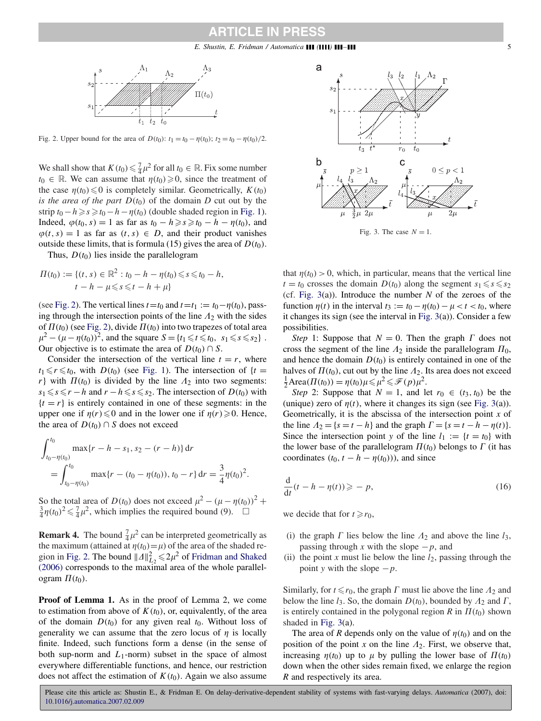<span id="page-4-0"></span>

Fig. 2. Upper bound for the area of  $D(t_0)$ :  $t_1 = t_0 - \eta(t_0)$ ;  $t_2 = t_0 - \eta(t_0)/2$ .

We shall show that  $K(t_0) \leq \frac{7}{4}\mu^2$  for all  $t_0 \in \mathbb{R}$ . Fix some number  $t_0 \in \mathbb{R}$ . We can assume that  $\eta(t_0) \geq 0$ , since the treatment of the case  $n(t_0) \leq 0$  is completely similar. Geometrically,  $K(t_0)$ *is the area of the part*  $D(t_0)$  of the domain *D* cut out by the strip  $t_0 - h \ge s \ge t_0 - h - \eta(t_0)$  (double shaded region in [Fig. 1\)](#page-3-0). Indeed,  $φ(t_0, s) = 1$  as far as  $t_0 - h \ge s \ge t_0 - h - η(t_0)$ , and  $\varphi(t, s) = 1$  as far as  $(t, s) \in D$ , and their product vanishes outside these limits, that is formula (15) gives the area of  $D(t_0)$ .

Thus,  $D(t_0)$  lies inside the parallelogram

$$
\Pi(t_0) := \{ (t, s) \in \mathbb{R}^2 : t_0 - h - \eta(t_0) \leq s \leq t_0 - h, t - h - \mu \leq s \leq t - h + \mu \}
$$

(see Fig. 2). The vertical lines  $t = t_0$  and  $t = t_1 := t_0 - \eta(t_0)$ , passing through the intersection points of the line  $A_2$  with the sides of  $\Pi(t_0)$  (see Fig. 2), divide  $\Pi(t_0)$  into two trapezes of total area  $\mu^2 - (\mu - \eta(t_0))^2$ , and the square  $S = \{t_1 \le t \le t_0, s_1 \le s \le s_2\}$ . Our objective is to estimate the area of  $D(t_0) \cap S$ .

Consider the intersection of the vertical line  $t = r$ , where  $t_1 \le r \le t_0$ , with *D(t<sub>0</sub>)* (see [Fig. 1\)](#page-3-0). The intersection of  $\{t =$ *r*} with  $\Pi(t_0)$  is divided by the line  $\Lambda_2$  into two segments: *s*<sub>1</sub> ≤ *s* ≤ *r* − *h* and *r* − *h* ≤ *s* ≤ *s*<sub>2</sub>. The intersection of *D*(*t*<sub>0</sub>) with  ${t = r}$  is entirely contained in one of these segments: in the upper one if  $\eta(r) \leq 0$  and in the lower one if  $\eta(r) \geq 0$ . Hence, the area of  $D(t_0) \cap S$  does not exceed

$$
\int_{t_0-\eta(t_0)}^{t_0} \max\{r - h - s_1, s_2 - (r - h)\} dr
$$
  
= 
$$
\int_{t_0-\eta(t_0)}^{t_0} \max\{r - (t_0 - \eta(t_0)), t_0 - r\} dr = \frac{3}{4} \eta(t_0)^2.
$$

So the total area of  $D(t_0)$  does not exceed  $\mu^2 - (\mu - \eta(t_0))^2$  +  $\frac{3}{4}\eta(t_0)^2 \leq \frac{7}{4}\mu^2$ , which implies the required bound (9).  $\Box$ 

**Remark 4.** The bound  $\frac{7}{4}\mu^2$  can be interpreted geometrically as the maximum (attained at  $\eta(t_0) = \mu$ ) of the area of the shaded region in Fig. 2. The bound  $||A||_{L_2}^2 \le 2\mu^2$  of Fridman and Shaked (2006) corresponds to the maximal area of the whole parallelogram  $\Pi(t_0)$ .

**Proof of Lemma 1.** As in the proof of Lemma 2, we come to estimation from above of  $K(t_0)$ , or, equivalently, of the area of the domain  $D(t_0)$  for any given real  $t_0$ . Without loss of generality we can assume that the zero locus of  $\eta$  is locally finite. Indeed, such functions form a dense (in the sense of both sup-norm and *L*1-norm) subset in the space of almost everywhere differentiable functions, and hence, our restriction does not affect the estimation of  $K(t_0)$ . Again we also assume



Fig. 3. The case  $N = 1$ .

that  $\eta(t_0) > 0$ , which, in particular, means that the vertical line  $t = t_0$  crosses the domain  $D(t_0)$  along the segment  $s_1 \le s \le s_2$ (cf. Fig. 3(a)). Introduce the number *N* of the zeroes of the function  $\eta(t)$  in the interval  $t_3 := t_0 - \eta(t_0) - \mu < t < t_0$ , where it changes its sign (see the interval in Fig. 3(a)). Consider a few possibilities.

*Step* 1: Suppose that  $N = 0$ . Then the graph  $\Gamma$  does not cross the segment of the line  $\Lambda_2$  inside the parallelogram  $\Pi_0$ , and hence the domain  $D(t_0)$  is entirely contained in one of the halves of  $\Pi(t_0)$ , cut out by the line  $A_2$ . Its area does not exceed  $\frac{1}{2}$ Area $(\Pi(t_0)) = \eta(t_0)\mu \leq \mu^2 \leq \mathcal{F}(p)\mu^2$ .

*Step* 2: Suppose that  $N = 1$ , and let  $r_0 \in (t_3, t_0)$  be the (unique) zero of  $\eta(t)$ , where it changes its sign (see Fig. 3(a)). Geometrically, it is the abscissa of the intersection point *x* of the line  $A_2 = \{s = t - h\}$  and the graph  $\Gamma = \{s = t - h - \eta(t)\}.$ Since the intersection point *y* of the line  $l_1 := \{t = t_0\}$  with the lower base of the parallelogram  $\Pi(t_0)$  belongs to  $\Gamma$  (it has coordinates  $(t_0, t - h - \eta(t_0))$ , and since

$$
\frac{\mathrm{d}}{\mathrm{d}t}(t-h-\eta(t)) \geqslant -p,\tag{16}
$$

we decide that for  $t \ge r_0$ ,

- (i) the graph  $\Gamma$  lies below the line  $\Lambda_2$  and above the line  $l_3$ , passing through *x* with the slope  $-p$ , and
- (ii) the point *x* must lie below the line  $l_2$ , passing through the point *y* with the slope  $-p$ .

Similarly, for  $t \le r_0$ , the graph  $\Gamma$  must lie above the line  $\Lambda_2$  and below the line  $l_3$ . So, the domain  $D(t_0)$ , bounded by  $\Lambda_2$  and  $\Gamma$ , is entirely contained in the polygonal region  $R$  in  $\Pi(t_0)$  shown shaded in Fig. 3(a).

The area of *R* depends only on the value of  $\eta(t_0)$  and on the position of the point  $x$  on the line  $\Lambda_2$ . First, we observe that, increasing  $\eta(t_0)$  up to  $\mu$  by pulling the lower base of  $\Pi(t_0)$ down when the other sides remain fixed, we enlarge the region

*R* and respectively its area.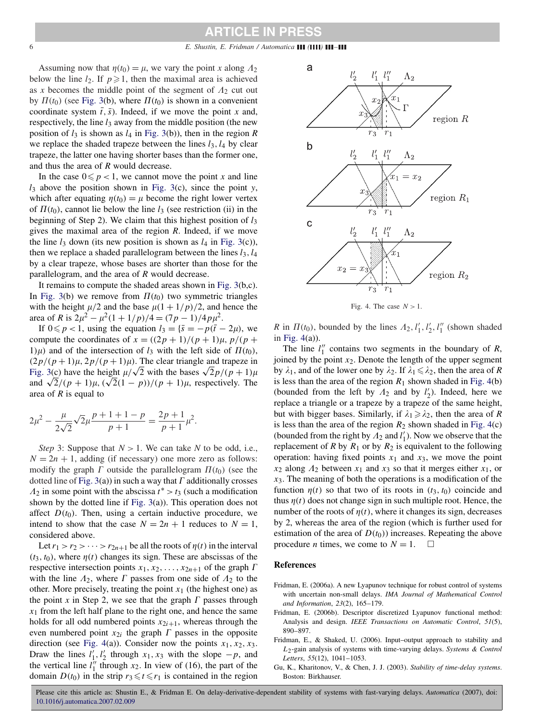<span id="page-5-0"></span>6 *E. Shustin, E. Fridman / Automatica ( ) –*

Assuming now that  $\eta(t_0) = \mu$ , we vary the point *x* along  $\Lambda_2$ below the line  $l_2$ . If  $p \ge 1$ , then the maximal area is achieved as *x* becomes the middle point of the segment of  $A_2$  cut out by  $\Pi(t_0)$  (see [Fig. 3\(](#page-4-0)b), where  $\Pi(t_0)$  is shown in a convenient coordinate system  $\bar{t}$ ,  $\bar{s}$ ). Indeed, if we move the point *x* and, respectively, the line *l*<sup>3</sup> away from the middle position (the new position of  $l_3$  is shown as  $l_4$  in [Fig. 3\(](#page-4-0)b)), then in the region  $R$ we replace the shaded trapeze between the lines  $l_3$ ,  $l_4$  by clear trapeze, the latter one having shorter bases than the former one, and thus the area of *R* would decrease.

In the case  $0 \leq p < 1$ , we cannot move the point *x* and line *l*<sup>3</sup> above the position shown in [Fig. 3\(](#page-4-0)c), since the point *y*, which after equating  $\eta(t_0) = \mu$  become the right lower vertex of  $\Pi(t_0)$ , cannot lie below the line  $l_3$  (see restriction (ii) in the beginning of Step 2). We claim that this highest position of  $l_3$ gives the maximal area of the region *R*. Indeed, if we move the line  $l_3$  down (its new position is shown as  $l_4$  in [Fig. 3\(](#page-4-0)c)), then we replace a shaded parallelogram between the lines  $l_3$ ,  $l_4$ by a clear trapeze, whose bases are shorter than those for the parallelogram, and the area of *R* would decrease.

It remains to compute the shaded areas shown in [Fig. 3\(](#page-4-0)b,c). In [Fig. 3\(](#page-4-0)b) we remove from  $\Pi(t_0)$  two symmetric triangles with the height  $\mu/2$  and the base  $\mu(1 + 1/p)/2$ , and hence the area of *R* is  $2\mu^2 - \mu^2(1 + 1/p)/4 = (7p - 1)/4p\mu^2$ .

If  $0 \le p < 1$ , using the equation  $l_3 = \{\bar{s} = -p(\bar{t} - 2\mu)\}$ , we compute the coordinates of  $x = \frac{((2p + 1)}{(p + 1)} \mu$ ,  $p/(p + 1)$ 1) $\mu$ ) and of the intersection of  $l_3$  with the left side of  $\Pi(t_0)$ ,  $(2p/(p+1)\mu, 2p/(p+1)\mu)$ . The clear triangle and trapeze in  $(2p/(p+1)\mu, 2p/(p+1)\mu)$ . The clear triangle and trapeze in [Fig. 3\(](#page-4-0)c) have the height  $\mu/\sqrt{2}$  with the bases  $\sqrt{2p}/(p+1)\mu$ and  $\sqrt{2}/(p + 1)\mu$ ,  $(\sqrt{2}(1 - p))/(p + 1)\mu$ , respectively. The area of *R* is equal to

$$
2\mu^{2} - \frac{\mu}{2\sqrt{2}}\sqrt{2\mu}\frac{p+1+1-p}{p+1} = \frac{2p+1}{p+1}\mu^{2}.
$$

*Step* 3: Suppose that  $N > 1$ . We can take *N* to be odd, i.e.,  $N = 2n + 1$ , adding (if necessary) one more zero as follows: modify the graph  $\Gamma$  outside the parallelogram  $\Pi(t_0)$  (see the dotted line of [Fig. 3\(](#page-4-0)a)) in such a way that  $\Gamma$  additionally crosses  $\Lambda_2$  in some point with the abscissa  $t^* > t_3$  (such a modification shown by the dotted line if [Fig. 3\(](#page-4-0)a)). This operation does not affect  $D(t_0)$ . Then, using a certain inductive procedure, we intend to show that the case  $N = 2n + 1$  reduces to  $N = 1$ , considered above.

Let  $r_1 > r_2 > \cdots > r_{2n+1}$  be all the roots of  $\eta(t)$  in the interval  $(t_3, t_0)$ , where  $\eta(t)$  changes its sign. These are abscissas of the respective intersection points  $x_1, x_2, \ldots, x_{2n+1}$  of the graph  $\Gamma$ with the line  $\Lambda_2$ , where  $\Gamma$  passes from one side of  $\Lambda_2$  to the other. More precisely, treating the point  $x_1$  (the highest one) as the point x in Step 2, we see that the graph  $\Gamma$  passes through  $x_1$  from the left half plane to the right one, and hence the same holds for all odd numbered points  $x_{2i+1}$ , whereas through the even numbered point  $x_{2i}$  the graph  $\Gamma$  passes in the opposite direction (see Fig. 4(a)). Consider now the points  $x_1, x_2, x_3$ . Draw the lines  $l'_1, l'_2$  through  $x_1, x_3$  with the slope  $-p$ , and the vertical line  $l_1^{'\prime}$  through  $x_2$ . In view of (16), the part of the domain  $D(t_0)$  in the strip  $r_3 \le t \le r_1$  is contained in the region



Fig. 4. The case  $N > 1$ .

*R* in  $\Pi(t_0)$ , bounded by the lines  $\Lambda_2$ ,  $l'_1$ ,  $l'_2$ ,  $l''_1$  (shown shaded in Fig. 4(a)).

The line  $l''_1$  contains two segments in the boundary of *R*, joined by the point *x*2. Denote the length of the upper segment by  $\lambda_1$ , and of the lower one by  $\lambda_2$ . If  $\lambda_1 \le \lambda_2$ , then the area of *R* is less than the area of the region  $R_1$  shown shaded in Fig. 4(b) (bounded from the left by  $\Lambda_2$  and by  $l'_2$ ). Indeed, here we replace a triangle or a trapeze by a trapeze of the same height, but with bigger bases. Similarly, if  $\lambda_1 \geq \lambda_2$ , then the area of *R* is less than the area of the region  $R_2$  shown shaded in Fig. 4(c) (bounded from the right by  $\Lambda_2$  and  $l'_1$ ). Now we observe that the replacement of *R* by  $R_1$  or by  $R_2$  is equivalent to the following operation: having fixed points  $x_1$  and  $x_3$ , we move the point  $\bar{x}_2$  along  $\Lambda_2$  between  $x_1$  and  $x_3$  so that it merges either  $\bar{x}_1$ , or  $x_3$ . The meaning of both the operations is a modification of the function  $\eta(t)$  so that two of its roots in  $(t_3, t_0)$  coincide and thus  $\eta(t)$  does not change sign in such multiple root. Hence, the number of the roots of  $\eta(t)$ , where it changes its sign, decreases by 2, whereas the area of the region (which is further used for estimation of the area of  $D(t_0)$ ) increases. Repeating the above procedure *n* times, we come to  $N = 1$ .  $\Box$ 

### **References**

- Fridman, E. (2006a). A new Lyapunov technique for robust control of systems with uncertain non-small delays. *IMA Journal of Mathematical Control and Information*, *23*(2), 165–179.
- Fridman, E. (2006b). Descriptor discretized Lyapunov functional method: Analysis and design. *IEEE Transactions on Automatic Control*, *51*(5), 890–897.
- Fridman, E., & Shaked, U. (2006). Input–output approach to stability and *L*2-gain analysis of systems with time-varying delays. *Systems & Control Letters*, *55*(12), 1041–1053.
- Gu, K., Kharitonov, V., & Chen, J. J. (2003). *Stability of time-delay systems*. Boston: Birkhauser.